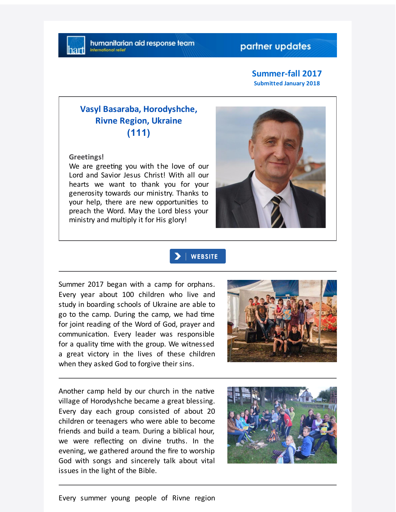## partner updates

**Summer-fall 2017 Submitted January 2018**

## **Vasyl Basaraba, Horodyshche, Rivne Region, Ukraine (111)**

**Greetings!**

We are greeting you with the love of our Lord and Savior Jesus Christ! With all our hearts we want to thank you for your generosity towards our ministry. Thanks to your help, there are new opportunities to preach the Word. May the Lord bless your ministry and multiply it for His glory!





Summer 2017 began with a camp for orphans. Every year about 100 children who live and study in boarding schools of Ukraine are able to go to the camp. During the camp, we had time for joint reading of the Word of God, prayer and communication. Every leader was responsible for a quality time with the group. We witnessed a great victory in the lives of these children when they asked God to forgive their sins.



Another camp held by our church in the native village of Horodyshche became a great blessing. Every day each group consisted of about 20 children or teenagers who were able to become friends and build a team. During a biblical hour, we were reflecting on divine truths. In the evening, we gathered around the fire to worship God with songs and sincerely talk about vital issues in the light of the Bible.